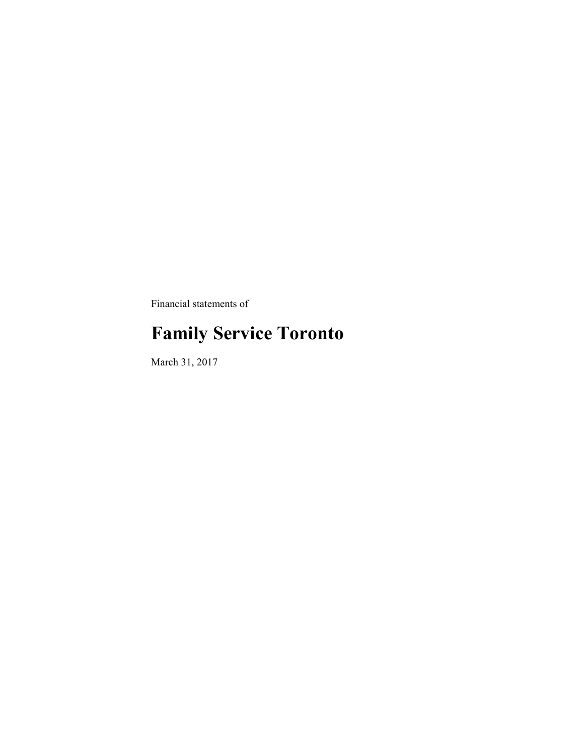Financial statements of

# **Family Service Toronto**

March 31, 2017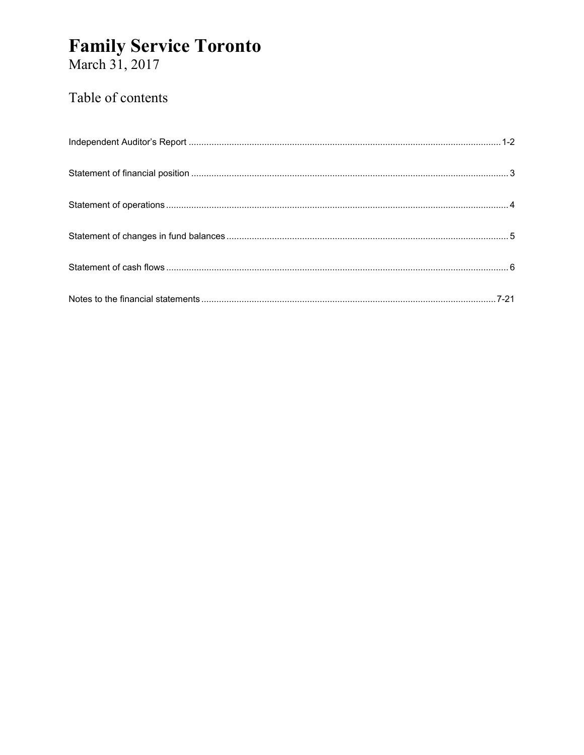# **Family Service Toronto**<br>March 31, 2017

### Table of contents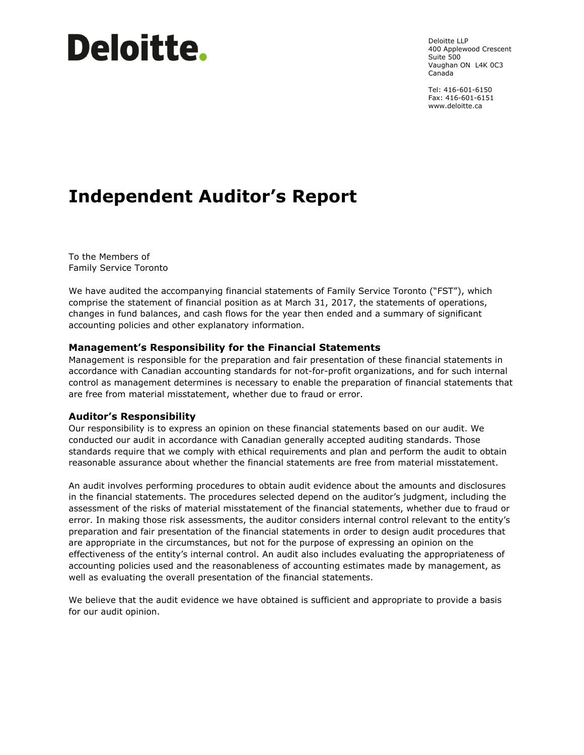# **Deloitte.**

Deloitte LLP 400 Applewood Crescent Suite 500 Vaughan ON L4K 0C3 Canada

Tel: 416-601-6150 Fax: 416-601-6151 www.deloitte.ca

# **Independent Auditor's Report**

To the Members of Family Service Toronto

We have audited the accompanying financial statements of Family Service Toronto ("FST"), which comprise the statement of financial position as at March 31, 2017, the statements of operations, changes in fund balances, and cash flows for the year then ended and a summary of significant accounting policies and other explanatory information.

#### **Management's Responsibility for the Financial Statements**

Management is responsible for the preparation and fair presentation of these financial statements in accordance with Canadian accounting standards for not-for-profit organizations, and for such internal control as management determines is necessary to enable the preparation of financial statements that are free from material misstatement, whether due to fraud or error.

#### **Auditor's Responsibility**

Our responsibility is to express an opinion on these financial statements based on our audit. We conducted our audit in accordance with Canadian generally accepted auditing standards. Those standards require that we comply with ethical requirements and plan and perform the audit to obtain reasonable assurance about whether the financial statements are free from material misstatement.

An audit involves performing procedures to obtain audit evidence about the amounts and disclosures in the financial statements. The procedures selected depend on the auditor's judgment, including the assessment of the risks of material misstatement of the financial statements, whether due to fraud or error. In making those risk assessments, the auditor considers internal control relevant to the entity's preparation and fair presentation of the financial statements in order to design audit procedures that are appropriate in the circumstances, but not for the purpose of expressing an opinion on the effectiveness of the entity's internal control. An audit also includes evaluating the appropriateness of accounting policies used and the reasonableness of accounting estimates made by management, as well as evaluating the overall presentation of the financial statements.

We believe that the audit evidence we have obtained is sufficient and appropriate to provide a basis for our audit opinion.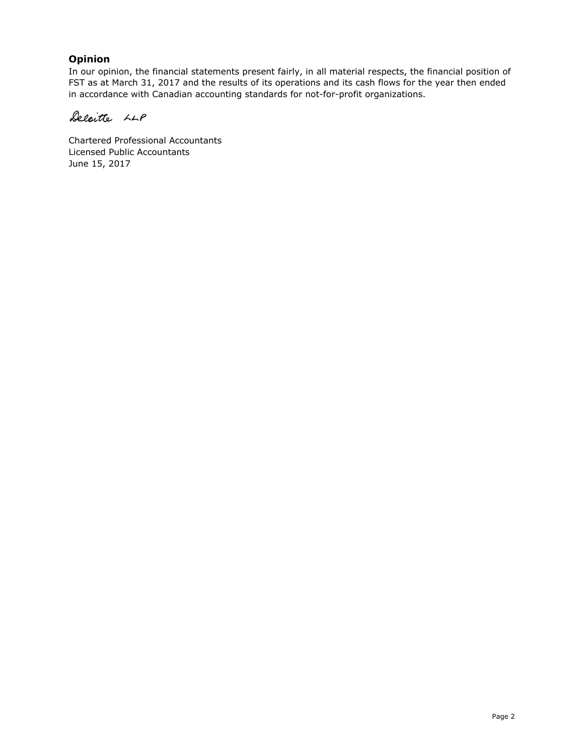#### **Opinion**

In our opinion, the financial statements present fairly, in all material respects, the financial position of FST as at March 31, 2017 and the results of its operations and its cash flows for the year then ended in accordance with Canadian accounting standards for not-for-profit organizations.

Delaitte LLP

Chartered Professional Accountants Licensed Public Accountants June 15, 2017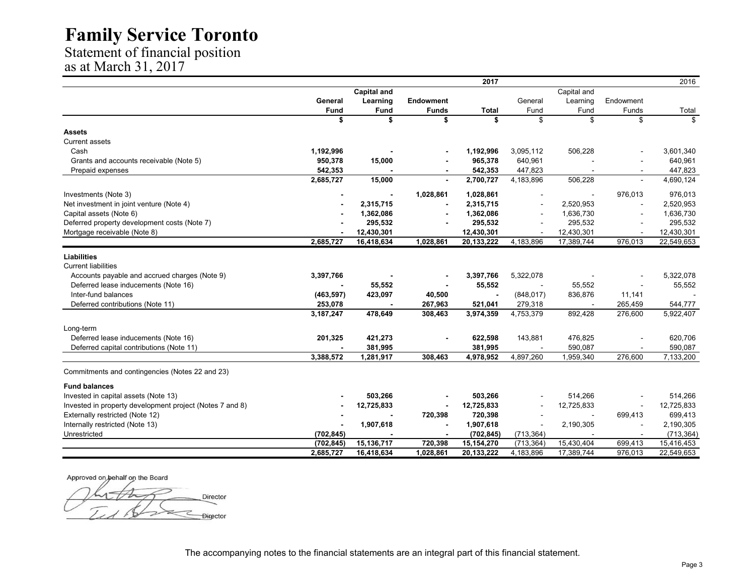Statement of financial position as at March 31, 2017

| <b>Capital and</b><br>Capital and<br>General<br>Learning<br>Endowment<br>General<br>Learning<br>Endowment<br><b>Fund</b><br>Fund<br><b>Funds</b><br>Fund<br>Fund<br>Funds<br><b>Total</b><br>Total<br>\$<br>\$<br>\$<br>\$<br>\$<br>\$<br>\$<br>\$<br>Assets<br><b>Current assets</b><br>Cash<br>1,192,996<br>1,192,996<br>3,095,112<br>506,228<br>3,601,340<br>965,378<br>Grants and accounts receivable (Note 5)<br>950,378<br>640,961<br>640,961<br>15,000<br>542,353<br>542,353<br>447,823<br>447,823<br>Prepaid expenses<br>$\blacksquare$<br>4,690,124<br>2,685,727<br>15,000<br>2,700,727<br>4,183,896<br>506,228<br>$\sim$<br>976,013<br>976,013<br>Investments (Note 3)<br>1,028,861<br>1,028,861<br>$\sim$<br>Net investment in joint venture (Note 4)<br>2,315,715<br>2,520,953<br>2,315,715<br>2,520,953<br>Capital assets (Note 6)<br>1,636,730<br>1,362,086<br>1,362,086<br>1,636,730<br>Deferred property development costs (Note 7)<br>295,532<br>295,532<br>295,532<br>295,532<br>Mortgage receivable (Note 8)<br>12,430,301<br>12,430,301<br>12,430,301<br>12,430,301<br>$\sim$<br>$\sim$<br>1,028,861<br>17,389,744<br>976,013<br>22,549,653<br>2,685,727<br>16,418,634<br>20,133,222<br>4,183,896<br>Accounts payable and accrued charges (Note 9)<br>3,397,766<br>5,322,078<br>5,322,078<br>3,397,766<br>Deferred lease inducements (Note 16)<br>55,552<br>55,552<br>55,552<br>55,552<br>Inter-fund balances<br>(848, 017)<br>(463, 597)<br>423,097<br>40,500<br>836,876<br>11,141<br>Deferred contributions (Note 11)<br>253,078<br>521,041<br>279,318<br>265,459<br>544,777<br>267,963<br>$\sim$<br>$\blacksquare$<br>478,649<br>4,753,379<br>892,428<br>276,600<br>5,922,407<br>3,187,247<br>308,463<br>3,974,359<br>Long-term<br>Deferred lease inducements (Note 16)<br>201,325<br>421,273<br>622,598<br>143,881<br>476,825<br>620,706<br>381,995<br>590,087<br>Deferred capital contributions (Note 11)<br>381,995<br>590,087<br>3,388,572<br>1,281,917<br>308,463<br>4,897,260<br>1,959,340<br>276,600<br>7,133,200<br>4,978,952<br>Commitments and contingencies (Notes 22 and 23)<br><b>Fund balances</b><br>503,266<br>503,266<br>514,266<br>514,266<br>12,725,833<br>12,725,833<br>12,725,833<br>12,725,833<br>720,398<br>699,413<br>720,398<br>699,413<br>1,907,618<br>1,907,618<br>2,190,305<br>2,190,305<br>(702, 845)<br>(713, 364)<br>(702, 845)<br>(713, 364)<br>$\overline{\phantom{a}}$<br>15,136,717<br>720,398<br>15,154,270<br>(713, 364)<br>15,430,404<br>699,413<br>15,416,453<br>(702, 845)<br>20,133,222<br>4,183,896<br>17,389,744<br>976,013<br>22,549,653<br>2,685,727<br>16,418,634<br>1,028,861 |                                                          |  | 2017 |  | 2016 |
|-----------------------------------------------------------------------------------------------------------------------------------------------------------------------------------------------------------------------------------------------------------------------------------------------------------------------------------------------------------------------------------------------------------------------------------------------------------------------------------------------------------------------------------------------------------------------------------------------------------------------------------------------------------------------------------------------------------------------------------------------------------------------------------------------------------------------------------------------------------------------------------------------------------------------------------------------------------------------------------------------------------------------------------------------------------------------------------------------------------------------------------------------------------------------------------------------------------------------------------------------------------------------------------------------------------------------------------------------------------------------------------------------------------------------------------------------------------------------------------------------------------------------------------------------------------------------------------------------------------------------------------------------------------------------------------------------------------------------------------------------------------------------------------------------------------------------------------------------------------------------------------------------------------------------------------------------------------------------------------------------------------------------------------------------------------------------------------------------------------------------------------------------------------------------------------------------------------------------------------------------------------------------------------------------------------------------------------------------------------------------------------------------------------------------------------------------------------------------------------------------------------------------------------------------------------------------------------------------------------------------------------------------------|----------------------------------------------------------|--|------|--|------|
|                                                                                                                                                                                                                                                                                                                                                                                                                                                                                                                                                                                                                                                                                                                                                                                                                                                                                                                                                                                                                                                                                                                                                                                                                                                                                                                                                                                                                                                                                                                                                                                                                                                                                                                                                                                                                                                                                                                                                                                                                                                                                                                                                                                                                                                                                                                                                                                                                                                                                                                                                                                                                                                     |                                                          |  |      |  |      |
|                                                                                                                                                                                                                                                                                                                                                                                                                                                                                                                                                                                                                                                                                                                                                                                                                                                                                                                                                                                                                                                                                                                                                                                                                                                                                                                                                                                                                                                                                                                                                                                                                                                                                                                                                                                                                                                                                                                                                                                                                                                                                                                                                                                                                                                                                                                                                                                                                                                                                                                                                                                                                                                     |                                                          |  |      |  |      |
|                                                                                                                                                                                                                                                                                                                                                                                                                                                                                                                                                                                                                                                                                                                                                                                                                                                                                                                                                                                                                                                                                                                                                                                                                                                                                                                                                                                                                                                                                                                                                                                                                                                                                                                                                                                                                                                                                                                                                                                                                                                                                                                                                                                                                                                                                                                                                                                                                                                                                                                                                                                                                                                     |                                                          |  |      |  |      |
|                                                                                                                                                                                                                                                                                                                                                                                                                                                                                                                                                                                                                                                                                                                                                                                                                                                                                                                                                                                                                                                                                                                                                                                                                                                                                                                                                                                                                                                                                                                                                                                                                                                                                                                                                                                                                                                                                                                                                                                                                                                                                                                                                                                                                                                                                                                                                                                                                                                                                                                                                                                                                                                     |                                                          |  |      |  |      |
|                                                                                                                                                                                                                                                                                                                                                                                                                                                                                                                                                                                                                                                                                                                                                                                                                                                                                                                                                                                                                                                                                                                                                                                                                                                                                                                                                                                                                                                                                                                                                                                                                                                                                                                                                                                                                                                                                                                                                                                                                                                                                                                                                                                                                                                                                                                                                                                                                                                                                                                                                                                                                                                     |                                                          |  |      |  |      |
|                                                                                                                                                                                                                                                                                                                                                                                                                                                                                                                                                                                                                                                                                                                                                                                                                                                                                                                                                                                                                                                                                                                                                                                                                                                                                                                                                                                                                                                                                                                                                                                                                                                                                                                                                                                                                                                                                                                                                                                                                                                                                                                                                                                                                                                                                                                                                                                                                                                                                                                                                                                                                                                     |                                                          |  |      |  |      |
|                                                                                                                                                                                                                                                                                                                                                                                                                                                                                                                                                                                                                                                                                                                                                                                                                                                                                                                                                                                                                                                                                                                                                                                                                                                                                                                                                                                                                                                                                                                                                                                                                                                                                                                                                                                                                                                                                                                                                                                                                                                                                                                                                                                                                                                                                                                                                                                                                                                                                                                                                                                                                                                     |                                                          |  |      |  |      |
|                                                                                                                                                                                                                                                                                                                                                                                                                                                                                                                                                                                                                                                                                                                                                                                                                                                                                                                                                                                                                                                                                                                                                                                                                                                                                                                                                                                                                                                                                                                                                                                                                                                                                                                                                                                                                                                                                                                                                                                                                                                                                                                                                                                                                                                                                                                                                                                                                                                                                                                                                                                                                                                     |                                                          |  |      |  |      |
|                                                                                                                                                                                                                                                                                                                                                                                                                                                                                                                                                                                                                                                                                                                                                                                                                                                                                                                                                                                                                                                                                                                                                                                                                                                                                                                                                                                                                                                                                                                                                                                                                                                                                                                                                                                                                                                                                                                                                                                                                                                                                                                                                                                                                                                                                                                                                                                                                                                                                                                                                                                                                                                     |                                                          |  |      |  |      |
|                                                                                                                                                                                                                                                                                                                                                                                                                                                                                                                                                                                                                                                                                                                                                                                                                                                                                                                                                                                                                                                                                                                                                                                                                                                                                                                                                                                                                                                                                                                                                                                                                                                                                                                                                                                                                                                                                                                                                                                                                                                                                                                                                                                                                                                                                                                                                                                                                                                                                                                                                                                                                                                     |                                                          |  |      |  |      |
|                                                                                                                                                                                                                                                                                                                                                                                                                                                                                                                                                                                                                                                                                                                                                                                                                                                                                                                                                                                                                                                                                                                                                                                                                                                                                                                                                                                                                                                                                                                                                                                                                                                                                                                                                                                                                                                                                                                                                                                                                                                                                                                                                                                                                                                                                                                                                                                                                                                                                                                                                                                                                                                     |                                                          |  |      |  |      |
|                                                                                                                                                                                                                                                                                                                                                                                                                                                                                                                                                                                                                                                                                                                                                                                                                                                                                                                                                                                                                                                                                                                                                                                                                                                                                                                                                                                                                                                                                                                                                                                                                                                                                                                                                                                                                                                                                                                                                                                                                                                                                                                                                                                                                                                                                                                                                                                                                                                                                                                                                                                                                                                     |                                                          |  |      |  |      |
|                                                                                                                                                                                                                                                                                                                                                                                                                                                                                                                                                                                                                                                                                                                                                                                                                                                                                                                                                                                                                                                                                                                                                                                                                                                                                                                                                                                                                                                                                                                                                                                                                                                                                                                                                                                                                                                                                                                                                                                                                                                                                                                                                                                                                                                                                                                                                                                                                                                                                                                                                                                                                                                     |                                                          |  |      |  |      |
|                                                                                                                                                                                                                                                                                                                                                                                                                                                                                                                                                                                                                                                                                                                                                                                                                                                                                                                                                                                                                                                                                                                                                                                                                                                                                                                                                                                                                                                                                                                                                                                                                                                                                                                                                                                                                                                                                                                                                                                                                                                                                                                                                                                                                                                                                                                                                                                                                                                                                                                                                                                                                                                     |                                                          |  |      |  |      |
|                                                                                                                                                                                                                                                                                                                                                                                                                                                                                                                                                                                                                                                                                                                                                                                                                                                                                                                                                                                                                                                                                                                                                                                                                                                                                                                                                                                                                                                                                                                                                                                                                                                                                                                                                                                                                                                                                                                                                                                                                                                                                                                                                                                                                                                                                                                                                                                                                                                                                                                                                                                                                                                     |                                                          |  |      |  |      |
|                                                                                                                                                                                                                                                                                                                                                                                                                                                                                                                                                                                                                                                                                                                                                                                                                                                                                                                                                                                                                                                                                                                                                                                                                                                                                                                                                                                                                                                                                                                                                                                                                                                                                                                                                                                                                                                                                                                                                                                                                                                                                                                                                                                                                                                                                                                                                                                                                                                                                                                                                                                                                                                     |                                                          |  |      |  |      |
|                                                                                                                                                                                                                                                                                                                                                                                                                                                                                                                                                                                                                                                                                                                                                                                                                                                                                                                                                                                                                                                                                                                                                                                                                                                                                                                                                                                                                                                                                                                                                                                                                                                                                                                                                                                                                                                                                                                                                                                                                                                                                                                                                                                                                                                                                                                                                                                                                                                                                                                                                                                                                                                     |                                                          |  |      |  |      |
|                                                                                                                                                                                                                                                                                                                                                                                                                                                                                                                                                                                                                                                                                                                                                                                                                                                                                                                                                                                                                                                                                                                                                                                                                                                                                                                                                                                                                                                                                                                                                                                                                                                                                                                                                                                                                                                                                                                                                                                                                                                                                                                                                                                                                                                                                                                                                                                                                                                                                                                                                                                                                                                     | <b>Liabilities</b>                                       |  |      |  |      |
|                                                                                                                                                                                                                                                                                                                                                                                                                                                                                                                                                                                                                                                                                                                                                                                                                                                                                                                                                                                                                                                                                                                                                                                                                                                                                                                                                                                                                                                                                                                                                                                                                                                                                                                                                                                                                                                                                                                                                                                                                                                                                                                                                                                                                                                                                                                                                                                                                                                                                                                                                                                                                                                     | <b>Current liabilities</b>                               |  |      |  |      |
|                                                                                                                                                                                                                                                                                                                                                                                                                                                                                                                                                                                                                                                                                                                                                                                                                                                                                                                                                                                                                                                                                                                                                                                                                                                                                                                                                                                                                                                                                                                                                                                                                                                                                                                                                                                                                                                                                                                                                                                                                                                                                                                                                                                                                                                                                                                                                                                                                                                                                                                                                                                                                                                     |                                                          |  |      |  |      |
|                                                                                                                                                                                                                                                                                                                                                                                                                                                                                                                                                                                                                                                                                                                                                                                                                                                                                                                                                                                                                                                                                                                                                                                                                                                                                                                                                                                                                                                                                                                                                                                                                                                                                                                                                                                                                                                                                                                                                                                                                                                                                                                                                                                                                                                                                                                                                                                                                                                                                                                                                                                                                                                     |                                                          |  |      |  |      |
|                                                                                                                                                                                                                                                                                                                                                                                                                                                                                                                                                                                                                                                                                                                                                                                                                                                                                                                                                                                                                                                                                                                                                                                                                                                                                                                                                                                                                                                                                                                                                                                                                                                                                                                                                                                                                                                                                                                                                                                                                                                                                                                                                                                                                                                                                                                                                                                                                                                                                                                                                                                                                                                     |                                                          |  |      |  |      |
|                                                                                                                                                                                                                                                                                                                                                                                                                                                                                                                                                                                                                                                                                                                                                                                                                                                                                                                                                                                                                                                                                                                                                                                                                                                                                                                                                                                                                                                                                                                                                                                                                                                                                                                                                                                                                                                                                                                                                                                                                                                                                                                                                                                                                                                                                                                                                                                                                                                                                                                                                                                                                                                     |                                                          |  |      |  |      |
|                                                                                                                                                                                                                                                                                                                                                                                                                                                                                                                                                                                                                                                                                                                                                                                                                                                                                                                                                                                                                                                                                                                                                                                                                                                                                                                                                                                                                                                                                                                                                                                                                                                                                                                                                                                                                                                                                                                                                                                                                                                                                                                                                                                                                                                                                                                                                                                                                                                                                                                                                                                                                                                     |                                                          |  |      |  |      |
|                                                                                                                                                                                                                                                                                                                                                                                                                                                                                                                                                                                                                                                                                                                                                                                                                                                                                                                                                                                                                                                                                                                                                                                                                                                                                                                                                                                                                                                                                                                                                                                                                                                                                                                                                                                                                                                                                                                                                                                                                                                                                                                                                                                                                                                                                                                                                                                                                                                                                                                                                                                                                                                     |                                                          |  |      |  |      |
|                                                                                                                                                                                                                                                                                                                                                                                                                                                                                                                                                                                                                                                                                                                                                                                                                                                                                                                                                                                                                                                                                                                                                                                                                                                                                                                                                                                                                                                                                                                                                                                                                                                                                                                                                                                                                                                                                                                                                                                                                                                                                                                                                                                                                                                                                                                                                                                                                                                                                                                                                                                                                                                     |                                                          |  |      |  |      |
|                                                                                                                                                                                                                                                                                                                                                                                                                                                                                                                                                                                                                                                                                                                                                                                                                                                                                                                                                                                                                                                                                                                                                                                                                                                                                                                                                                                                                                                                                                                                                                                                                                                                                                                                                                                                                                                                                                                                                                                                                                                                                                                                                                                                                                                                                                                                                                                                                                                                                                                                                                                                                                                     |                                                          |  |      |  |      |
|                                                                                                                                                                                                                                                                                                                                                                                                                                                                                                                                                                                                                                                                                                                                                                                                                                                                                                                                                                                                                                                                                                                                                                                                                                                                                                                                                                                                                                                                                                                                                                                                                                                                                                                                                                                                                                                                                                                                                                                                                                                                                                                                                                                                                                                                                                                                                                                                                                                                                                                                                                                                                                                     |                                                          |  |      |  |      |
|                                                                                                                                                                                                                                                                                                                                                                                                                                                                                                                                                                                                                                                                                                                                                                                                                                                                                                                                                                                                                                                                                                                                                                                                                                                                                                                                                                                                                                                                                                                                                                                                                                                                                                                                                                                                                                                                                                                                                                                                                                                                                                                                                                                                                                                                                                                                                                                                                                                                                                                                                                                                                                                     |                                                          |  |      |  |      |
|                                                                                                                                                                                                                                                                                                                                                                                                                                                                                                                                                                                                                                                                                                                                                                                                                                                                                                                                                                                                                                                                                                                                                                                                                                                                                                                                                                                                                                                                                                                                                                                                                                                                                                                                                                                                                                                                                                                                                                                                                                                                                                                                                                                                                                                                                                                                                                                                                                                                                                                                                                                                                                                     |                                                          |  |      |  |      |
|                                                                                                                                                                                                                                                                                                                                                                                                                                                                                                                                                                                                                                                                                                                                                                                                                                                                                                                                                                                                                                                                                                                                                                                                                                                                                                                                                                                                                                                                                                                                                                                                                                                                                                                                                                                                                                                                                                                                                                                                                                                                                                                                                                                                                                                                                                                                                                                                                                                                                                                                                                                                                                                     |                                                          |  |      |  |      |
|                                                                                                                                                                                                                                                                                                                                                                                                                                                                                                                                                                                                                                                                                                                                                                                                                                                                                                                                                                                                                                                                                                                                                                                                                                                                                                                                                                                                                                                                                                                                                                                                                                                                                                                                                                                                                                                                                                                                                                                                                                                                                                                                                                                                                                                                                                                                                                                                                                                                                                                                                                                                                                                     | Invested in capital assets (Note 13)                     |  |      |  |      |
|                                                                                                                                                                                                                                                                                                                                                                                                                                                                                                                                                                                                                                                                                                                                                                                                                                                                                                                                                                                                                                                                                                                                                                                                                                                                                                                                                                                                                                                                                                                                                                                                                                                                                                                                                                                                                                                                                                                                                                                                                                                                                                                                                                                                                                                                                                                                                                                                                                                                                                                                                                                                                                                     | Invested in property development project (Notes 7 and 8) |  |      |  |      |
|                                                                                                                                                                                                                                                                                                                                                                                                                                                                                                                                                                                                                                                                                                                                                                                                                                                                                                                                                                                                                                                                                                                                                                                                                                                                                                                                                                                                                                                                                                                                                                                                                                                                                                                                                                                                                                                                                                                                                                                                                                                                                                                                                                                                                                                                                                                                                                                                                                                                                                                                                                                                                                                     | Externally restricted (Note 12)                          |  |      |  |      |
|                                                                                                                                                                                                                                                                                                                                                                                                                                                                                                                                                                                                                                                                                                                                                                                                                                                                                                                                                                                                                                                                                                                                                                                                                                                                                                                                                                                                                                                                                                                                                                                                                                                                                                                                                                                                                                                                                                                                                                                                                                                                                                                                                                                                                                                                                                                                                                                                                                                                                                                                                                                                                                                     | Internally restricted (Note 13)                          |  |      |  |      |
|                                                                                                                                                                                                                                                                                                                                                                                                                                                                                                                                                                                                                                                                                                                                                                                                                                                                                                                                                                                                                                                                                                                                                                                                                                                                                                                                                                                                                                                                                                                                                                                                                                                                                                                                                                                                                                                                                                                                                                                                                                                                                                                                                                                                                                                                                                                                                                                                                                                                                                                                                                                                                                                     | Unrestricted                                             |  |      |  |      |
|                                                                                                                                                                                                                                                                                                                                                                                                                                                                                                                                                                                                                                                                                                                                                                                                                                                                                                                                                                                                                                                                                                                                                                                                                                                                                                                                                                                                                                                                                                                                                                                                                                                                                                                                                                                                                                                                                                                                                                                                                                                                                                                                                                                                                                                                                                                                                                                                                                                                                                                                                                                                                                                     |                                                          |  |      |  |      |
|                                                                                                                                                                                                                                                                                                                                                                                                                                                                                                                                                                                                                                                                                                                                                                                                                                                                                                                                                                                                                                                                                                                                                                                                                                                                                                                                                                                                                                                                                                                                                                                                                                                                                                                                                                                                                                                                                                                                                                                                                                                                                                                                                                                                                                                                                                                                                                                                                                                                                                                                                                                                                                                     |                                                          |  |      |  |      |

Approved on behalf on the Board

Director **Director**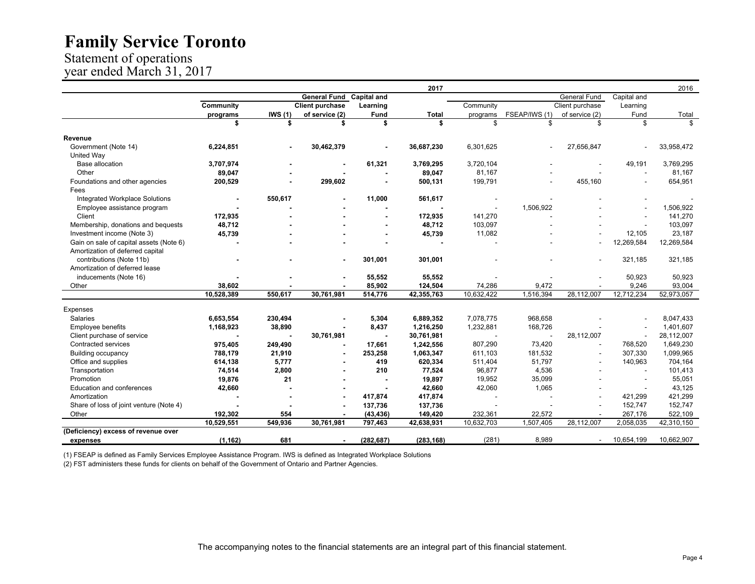#### Statement of operations year ended March 31, 2017

|                                         |                |                |                        |                          | 2017         |                |                          |                          |                          | 2016       |
|-----------------------------------------|----------------|----------------|------------------------|--------------------------|--------------|----------------|--------------------------|--------------------------|--------------------------|------------|
|                                         |                |                | <b>General Fund</b>    | <b>Capital and</b>       |              |                |                          | General Fund             | Capital and              |            |
|                                         | Community      |                | <b>Client purchase</b> | Learning                 |              | Community      |                          | Client purchase          | Learning                 |            |
|                                         | programs       | IWS(1)         | of service (2)         | Fund                     | <b>Total</b> | programs       | FSEAP/IWS (1)            | of service (2)           | Fund                     | Total      |
|                                         | \$             | \$             | \$                     | \$                       | \$           | \$             | \$                       | \$                       | \$                       | \$         |
| Revenue                                 |                |                |                        |                          |              |                |                          |                          |                          |            |
| Government (Note 14)                    | 6,224,851      |                | 30,462,379             |                          | 36,687,230   | 6,301,625      |                          | 27,656,847               |                          | 33,958,472 |
| United Way                              |                |                |                        |                          |              |                |                          |                          |                          |            |
| <b>Base allocation</b>                  | 3,707,974      |                |                        | 61,321                   | 3,769,295    | 3,720,104      |                          |                          | 49,191                   | 3,769,295  |
| Other                                   | 89,047         |                |                        |                          | 89,047       | 81,167         |                          |                          |                          | 81,167     |
| Foundations and other agencies          | 200,529        |                | 299,602                |                          | 500,131      | 199,791        |                          | 455,160                  |                          | 654,951    |
| Fees                                    |                |                |                        |                          |              |                |                          |                          |                          |            |
| <b>Integrated Workplace Solutions</b>   | $\blacksquare$ | 550.617        |                        | 11,000                   | 561,617      |                |                          |                          |                          |            |
| Employee assistance program             |                |                |                        |                          |              |                | 1,506,922                |                          |                          | 1,506,922  |
| Client                                  | 172,935        |                |                        |                          | 172,935      | 141,270        |                          |                          |                          | 141,270    |
| Membership, donations and bequests      | 48,712         |                |                        |                          | 48,712       | 103,097        |                          |                          |                          | 103,097    |
| Investment income (Note 3)              | 45,739         |                |                        |                          | 45,739       | 11,082         |                          |                          | 12,105                   | 23,187     |
| Gain on sale of capital assets (Note 6) |                |                |                        |                          |              |                |                          |                          | 12,269,584               | 12,269,584 |
| Amortization of deferred capital        |                |                |                        |                          |              |                |                          |                          |                          |            |
| contributions (Note 11b)                |                |                |                        | 301,001                  | 301,001      |                |                          |                          | 321,185                  | 321,185    |
| Amortization of deferred lease          |                |                |                        |                          |              |                |                          |                          |                          |            |
| inducements (Note 16)                   |                |                |                        | 55,552                   | 55,552       |                |                          |                          | 50,923                   | 50,923     |
| Other                                   | 38,602         |                |                        | 85,902                   | 124,504      | 74,286         | 9,472                    |                          | 9,246                    | 93,004     |
|                                         | 10,528,389     | 550,617        | 30,761,981             | 514,776                  | 42,355,763   | 10,632,422     | 1,516,394                | 28,112,007               | 12,712,234               | 52,973,057 |
| Expenses                                |                |                |                        |                          |              |                |                          |                          |                          |            |
| <b>Salaries</b>                         | 6,653,554      | 230,494        |                        | 5,304                    | 6,889,352    | 7,078,775      | 968.658                  |                          |                          | 8,047,433  |
| <b>Employee benefits</b>                | 1,168,923      | 38,890         |                        | 8.437                    | 1,216,250    | 1,232,881      | 168,726                  |                          |                          | 1,401,607  |
| Client purchase of service              |                | $\blacksquare$ | 30,761,981             | $\blacksquare$           | 30,761,981   | $\blacksquare$ | $\overline{\phantom{a}}$ | 28,112,007               | $\overline{\phantom{a}}$ | 28,112,007 |
| <b>Contracted services</b>              | 975,405        | 249,490        |                        | 17,661                   | 1,242,556    | 807,290        | 73,420                   |                          | 768,520                  | 1,649,230  |
| <b>Building occupancy</b>               | 788,179        | 21,910         | $\blacksquare$         | 253,258                  | 1,063,347    | 611,103        | 181,532                  | $\overline{\phantom{a}}$ | 307,330                  | 1,099,965  |
| Office and supplies                     | 614,138        | 5,777          |                        | 419                      | 620,334      | 511,404        | 51,797                   |                          | 140,963                  | 704.164    |
| Transportation                          | 74,514         | 2,800          |                        | 210                      | 77,524       | 96,877         | 4,536                    |                          | $\sim$                   | 101,413    |
| Promotion                               | 19,876         | 21             |                        | $\overline{\phantom{a}}$ | 19,897       | 19,952         | 35,099                   |                          | $\sim$                   | 55,051     |
| <b>Education and conferences</b>        | 42,660         |                |                        |                          | 42,660       | 42,060         | 1,065                    |                          |                          | 43,125     |
| Amortization                            |                |                |                        | 417,874                  | 417,874      |                |                          |                          | 421,299                  | 421,299    |
| Share of loss of joint venture (Note 4) |                |                |                        | 137,736                  | 137,736      | $\sim$         |                          |                          | 152,747                  | 152,747    |
| Other                                   | 192,302        | 554            |                        | (43, 436)                | 149,420      | 232,361        | 22,572                   |                          | 267,176                  | 522,109    |
|                                         | 10,529,551     | 549,936        | 30,761,981             | 797,463                  | 42,638,931   | 10,632,703     | 1,507,405                | 28,112,007               | 2,058,035                | 42,310,150 |
| (Deficiency) excess of revenue over     |                |                |                        |                          |              |                |                          |                          |                          |            |
| expenses                                | (1, 162)       | 681            |                        | (282, 687)               | (283, 168)   | (281)          | 8,989                    | $\sim$                   | 10,654,199               | 10,662,907 |
|                                         |                |                |                        |                          |              |                |                          |                          |                          |            |

(1) FSEAP is defined as Family Services Employee Assistance Program. IWS is defined as Integrated Workplace Solutions

(2) FST administers these funds for clients on behalf of the Government of Ontario and Partner Agencies.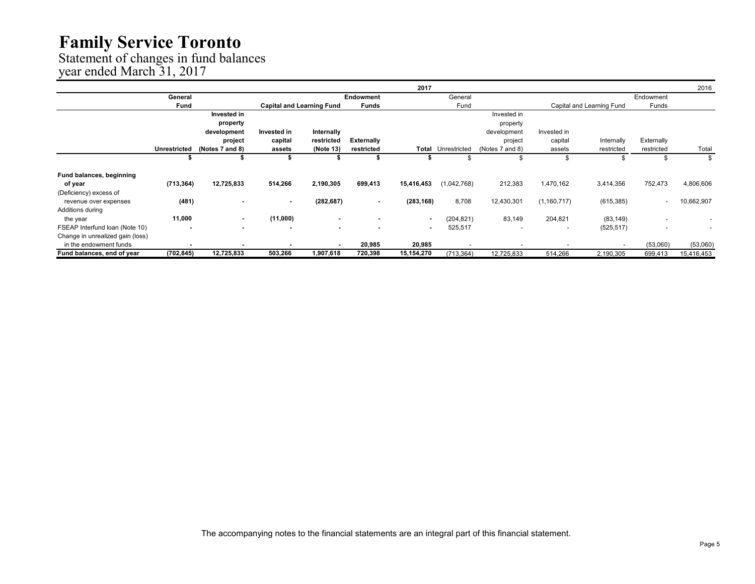Statement of changes in fund balances

year ended March 31, 2017

|                                  |              |                 |             |                                  |                          | 2017                     |              |                          |                          |                           |                          | 2016       |
|----------------------------------|--------------|-----------------|-------------|----------------------------------|--------------------------|--------------------------|--------------|--------------------------|--------------------------|---------------------------|--------------------------|------------|
|                                  | General      |                 |             |                                  | <b>Endowment</b>         |                          | General      |                          |                          |                           | Endowment                |            |
|                                  | Fund         |                 |             | <b>Capital and Learning Fund</b> | <b>Funds</b>             |                          | Fund         |                          |                          | Capital and Learning Fund | Funds                    |            |
|                                  |              | Invested in     |             |                                  |                          |                          |              | Invested in              |                          |                           |                          |            |
|                                  |              | property        |             |                                  |                          |                          |              | property                 |                          |                           |                          |            |
|                                  |              | development     | Invested in | Internally                       |                          |                          |              | development              | Invested in              |                           |                          |            |
|                                  |              | project         | capital     | restricted                       | <b>Externally</b>        |                          |              | project                  | capital                  | Internally                | Externally               |            |
|                                  | Unrestricted | (Notes 7 and 8) | assets      | (Note 13)                        | restricted               | Total                    | Unrestricted | (Notes 7 and 8)          | assets                   | restricted                | restricted               | Total      |
|                                  | J.           |                 | S           |                                  | ъ                        |                          |              | -S                       | S                        | ა                         |                          | \$         |
| <b>Fund balances, beginning</b>  |              |                 |             |                                  |                          |                          |              |                          |                          |                           |                          |            |
| of year                          | (713, 364)   | 12,725,833      | 514,266     | 2,190,305                        | 699,413                  | 15,416,453               | (1,042,768)  | 212,383                  | 1,470,162                | 3,414,356                 | 752,473                  | 4,806,606  |
| (Deficiency) excess of           |              |                 |             |                                  |                          |                          |              |                          |                          |                           |                          |            |
| revenue over expenses            | (481)        |                 | $\sim$      | (282, 687)                       | $\sim$                   | (283, 168)               | 8,708        | 12,430,301               | (1,160,717)              | (615, 385)                | $\overline{\phantom{a}}$ | 10,662,907 |
| Additions during                 |              |                 |             |                                  |                          |                          |              |                          |                          |                           |                          |            |
| the year                         | 11,000       | ٠               | (11,000)    |                                  |                          | ٠                        | (204, 821)   | 83,149                   | 204,821                  | (83, 149)                 |                          |            |
| FSEAP Interfund Ioan (Note 10)   |              |                 |             | $\overline{\phantom{a}}$         | $\overline{\phantom{a}}$ | $\overline{\phantom{a}}$ | 525,517      | $\overline{\phantom{a}}$ | $\overline{\phantom{a}}$ | (525, 517)                | $\overline{\phantom{a}}$ |            |
| Change in unrealized gain (loss) |              |                 |             |                                  |                          |                          |              |                          |                          |                           |                          |            |
| in the endowment funds           |              |                 |             |                                  | 20,985                   | 20,985                   |              |                          |                          | $\overline{\phantom{a}}$  | (53,060)                 | (53,060)   |
| Fund balances, end of year       | (702, 845)   | 12,725,833      | 503,266     | 1,907,618                        | 720,398                  | 15,154,270               | (713, 364)   | 12,725,833               | 514,266                  | 2,190,305                 | 699,413                  | 15,416,453 |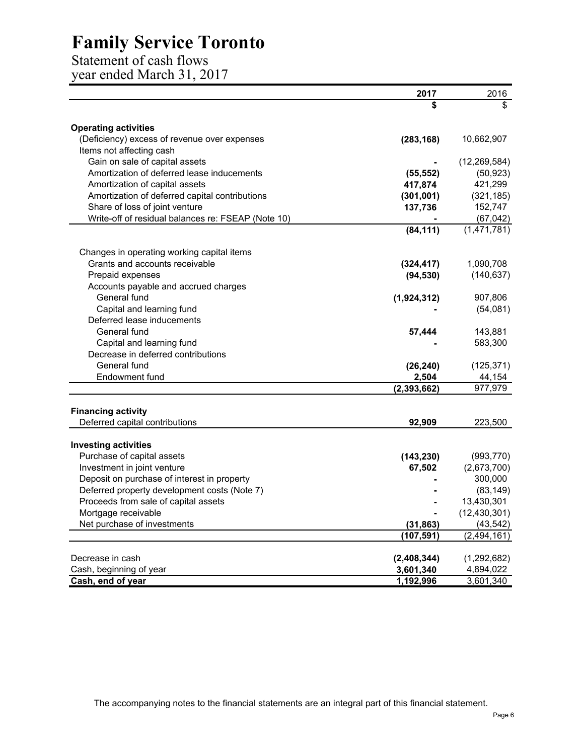Statement of cash flows

year ended March 31, 2017

|                                                                                      | 2017          | 2016           |
|--------------------------------------------------------------------------------------|---------------|----------------|
|                                                                                      | \$            | \$             |
|                                                                                      |               |                |
| <b>Operating activities</b>                                                          |               |                |
| (Deficiency) excess of revenue over expenses                                         | (283, 168)    | 10,662,907     |
| Items not affecting cash                                                             |               |                |
| Gain on sale of capital assets                                                       |               | (12, 269, 584) |
| Amortization of deferred lease inducements                                           | (55, 552)     | (50, 923)      |
| Amortization of capital assets                                                       | 417,874       | 421,299        |
| Amortization of deferred capital contributions                                       | (301, 001)    | (321, 185)     |
| Share of loss of joint venture<br>Write-off of residual balances re: FSEAP (Note 10) | 137,736       | 152,747        |
|                                                                                      |               | (67, 042)      |
|                                                                                      | (84, 111)     | (1,471,781)    |
| Changes in operating working capital items                                           |               |                |
| Grants and accounts receivable                                                       | (324, 417)    | 1,090,708      |
| Prepaid expenses                                                                     | (94, 530)     | (140, 637)     |
| Accounts payable and accrued charges                                                 |               |                |
| General fund                                                                         | (1,924,312)   | 907,806        |
| Capital and learning fund                                                            |               | (54,081)       |
| Deferred lease inducements                                                           |               |                |
| General fund                                                                         | 57,444        | 143,881        |
| Capital and learning fund                                                            |               | 583,300        |
| Decrease in deferred contributions                                                   |               |                |
| General fund                                                                         | (26, 240)     | (125, 371)     |
| Endowment fund                                                                       | 2,504         | 44,154         |
|                                                                                      | (2, 393, 662) | 977,979        |
|                                                                                      |               |                |
| <b>Financing activity</b>                                                            |               |                |
| Deferred capital contributions                                                       | 92,909        | 223,500        |
| <b>Investing activities</b>                                                          |               |                |
| Purchase of capital assets                                                           | (143, 230)    | (993, 770)     |
| Investment in joint venture                                                          | 67,502        | (2,673,700)    |
| Deposit on purchase of interest in property                                          |               | 300,000        |
| Deferred property development costs (Note 7)                                         |               | (83, 149)      |
| Proceeds from sale of capital assets                                                 |               | 13,430,301     |
| Mortgage receivable                                                                  |               | (12, 430, 301) |
| Net purchase of investments                                                          | (31, 863)     | (43, 542)      |
|                                                                                      | (107, 591)    | (2, 494, 161)  |
|                                                                                      |               |                |
| Decrease in cash                                                                     | (2,408,344)   | (1, 292, 682)  |
| Cash, beginning of year                                                              | 3,601,340     | 4,894,022      |
| Cash, end of year                                                                    | 1,192,996     | 3,601,340      |

The accompanying notes to the financial statements are an integral part of this financial statement.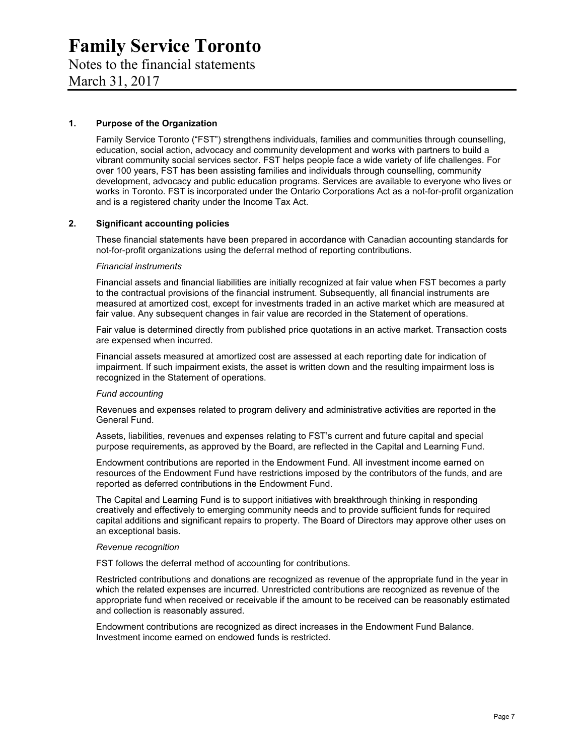### Notes to the financial statements

March 31, 2017

#### **1. Purpose of the Organization**

Family Service Toronto ("FST") strengthens individuals, families and communities through counselling, education, social action, advocacy and community development and works with partners to build a vibrant community social services sector. FST helps people face a wide variety of life challenges. For over 100 years, FST has been assisting families and individuals through counselling, community development, advocacy and public education programs. Services are available to everyone who lives or works in Toronto. FST is incorporated under the Ontario Corporations Act as a not-for-profit organization and is a registered charity under the Income Tax Act.

#### **2. Significant accounting policies**

These financial statements have been prepared in accordance with Canadian accounting standards for not-for-profit organizations using the deferral method of reporting contributions.

#### *Financial instruments*

Financial assets and financial liabilities are initially recognized at fair value when FST becomes a party to the contractual provisions of the financial instrument. Subsequently, all financial instruments are measured at amortized cost, except for investments traded in an active market which are measured at fair value. Any subsequent changes in fair value are recorded in the Statement of operations.

Fair value is determined directly from published price quotations in an active market. Transaction costs are expensed when incurred.

Financial assets measured at amortized cost are assessed at each reporting date for indication of impairment. If such impairment exists, the asset is written down and the resulting impairment loss is recognized in the Statement of operations.

#### *Fund accounting*

Revenues and expenses related to program delivery and administrative activities are reported in the General Fund.

Assets, liabilities, revenues and expenses relating to FST's current and future capital and special purpose requirements, as approved by the Board, are reflected in the Capital and Learning Fund.

Endowment contributions are reported in the Endowment Fund. All investment income earned on resources of the Endowment Fund have restrictions imposed by the contributors of the funds, and are reported as deferred contributions in the Endowment Fund.

The Capital and Learning Fund is to support initiatives with breakthrough thinking in responding creatively and effectively to emerging community needs and to provide sufficient funds for required capital additions and significant repairs to property. The Board of Directors may approve other uses on an exceptional basis.

#### *Revenue recognition*

FST follows the deferral method of accounting for contributions.

Restricted contributions and donations are recognized as revenue of the appropriate fund in the year in which the related expenses are incurred. Unrestricted contributions are recognized as revenue of the appropriate fund when received or receivable if the amount to be received can be reasonably estimated and collection is reasonably assured.

Endowment contributions are recognized as direct increases in the Endowment Fund Balance. Investment income earned on endowed funds is restricted.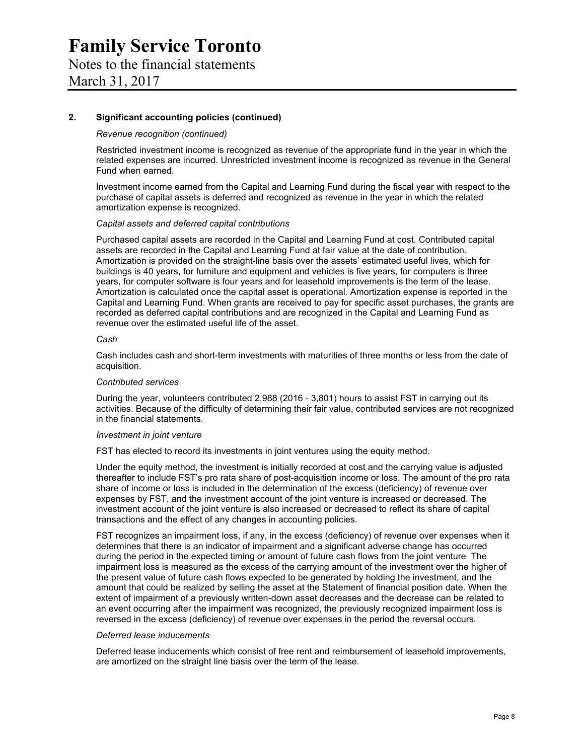#### **2. Significant accounting policies (continued)**

#### *Revenue recognition (continued)*

Restricted investment income is recognized as revenue of the appropriate fund in the year in which the related expenses are incurred. Unrestricted investment income is recognized as revenue in the General Fund when earned.

Investment income earned from the Capital and Learning Fund during the fiscal year with respect to the purchase of capital assets is deferred and recognized as revenue in the year in which the related amortization expense is recognized.

#### *Capital assets and deferred capital contributions*

Purchased capital assets are recorded in the Capital and Learning Fund at cost. Contributed capital assets are recorded in the Capital and Learning Fund at fair value at the date of contribution. Amortization is provided on the straight-line basis over the assets' estimated useful lives, which for buildings is 40 years, for furniture and equipment and vehicles is five years, for computers is three years, for computer software is four years and for leasehold improvements is the term of the lease. Amortization is calculated once the capital asset is operational. Amortization expense is reported in the Capital and Learning Fund. When grants are received to pay for specific asset purchases, the grants are recorded as deferred capital contributions and are recognized in the Capital and Learning Fund as revenue over the estimated useful life of the asset.

#### *Cash*

Cash includes cash and short-term investments with maturities of three months or less from the date of acquisition.

#### *Contributed services*

During the year, volunteers contributed 2,988 (2016 - 3,801) hours to assist FST in carrying out its activities. Because of the difficulty of determining their fair value, contributed services are not recognized in the financial statements.

#### *Investment in joint venture*

FST has elected to record its investments in joint ventures using the equity method.

Under the equity method, the investment is initially recorded at cost and the carrying value is adjusted thereafter to include FST's pro rata share of post-acquisition income or loss. The amount of the pro rata share of income or loss is included in the determination of the excess (deficiency) of revenue over expenses by FST, and the investment account of the joint venture is increased or decreased. The investment account of the joint venture is also increased or decreased to reflect its share of capital transactions and the effect of any changes in accounting policies.

FST recognizes an impairment loss, if any, in the excess (deficiency) of revenue over expenses when it determines that there is an indicator of impairment and a significant adverse change has occurred during the period in the expected timing or amount of future cash flows from the joint venture The impairment loss is measured as the excess of the carrying amount of the investment over the higher of the present value of future cash flows expected to be generated by holding the investment, and the amount that could be realized by selling the asset at the Statement of financial position date. When the extent of impairment of a previously written-down asset decreases and the decrease can be related to an event occurring after the impairment was recognized, the previously recognized impairment loss is reversed in the excess (deficiency) of revenue over expenses in the period the reversal occurs.

#### *Deferred lease inducements*

Deferred lease inducements which consist of free rent and reimbursement of leasehold improvements, are amortized on the straight line basis over the term of the lease.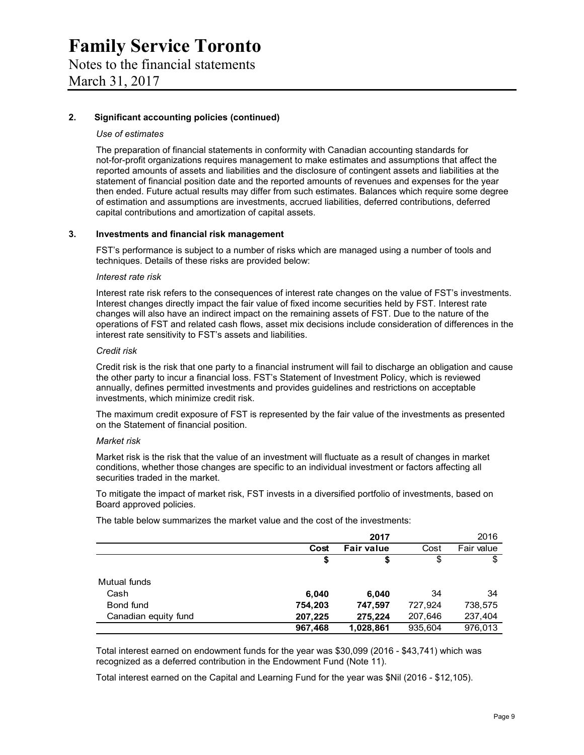#### **2. Significant accounting policies (continued)**

#### *Use of estimates*

The preparation of financial statements in conformity with Canadian accounting standards for not-for-profit organizations requires management to make estimates and assumptions that affect the reported amounts of assets and liabilities and the disclosure of contingent assets and liabilities at the statement of financial position date and the reported amounts of revenues and expenses for the year then ended. Future actual results may differ from such estimates. Balances which require some degree of estimation and assumptions are investments, accrued liabilities, deferred contributions, deferred capital contributions and amortization of capital assets.

#### **3. Investments and financial risk management**

FST's performance is subject to a number of risks which are managed using a number of tools and techniques. Details of these risks are provided below:

#### *Interest rate risk*

Interest rate risk refers to the consequences of interest rate changes on the value of FST's investments. Interest changes directly impact the fair value of fixed income securities held by FST. Interest rate changes will also have an indirect impact on the remaining assets of FST. Due to the nature of the operations of FST and related cash flows, asset mix decisions include consideration of differences in the interest rate sensitivity to FST's assets and liabilities.

#### *Credit risk*

Credit risk is the risk that one party to a financial instrument will fail to discharge an obligation and cause the other party to incur a financial loss. FST's Statement of Investment Policy, which is reviewed annually, defines permitted investments and provides guidelines and restrictions on acceptable investments, which minimize credit risk.

The maximum credit exposure of FST is represented by the fair value of the investments as presented on the Statement of financial position.

#### *Market risk*

Market risk is the risk that the value of an investment will fluctuate as a result of changes in market conditions, whether those changes are specific to an individual investment or factors affecting all securities traded in the market.

To mitigate the impact of market risk, FST invests in a diversified portfolio of investments, based on Board approved policies.

The table below summarizes the market value and the cost of the investments:

|                      |         | 2017              |         | 2016       |
|----------------------|---------|-------------------|---------|------------|
|                      | Cost    | <b>Fair value</b> | Cost    | Fair value |
|                      | \$      | \$                | \$      | \$         |
| Mutual funds         |         |                   |         |            |
| Cash                 | 6,040   | 6,040             | 34      | 34         |
| Bond fund            | 754,203 | 747,597           | 727,924 | 738,575    |
| Canadian equity fund | 207,225 | 275,224           | 207,646 | 237,404    |
|                      | 967,468 | 1,028,861         | 935,604 | 976.013    |

Total interest earned on endowment funds for the year was \$30,099 (2016 - \$43,741) which was recognized as a deferred contribution in the Endowment Fund (Note 11).

Total interest earned on the Capital and Learning Fund for the year was \$Nil (2016 - \$12,105).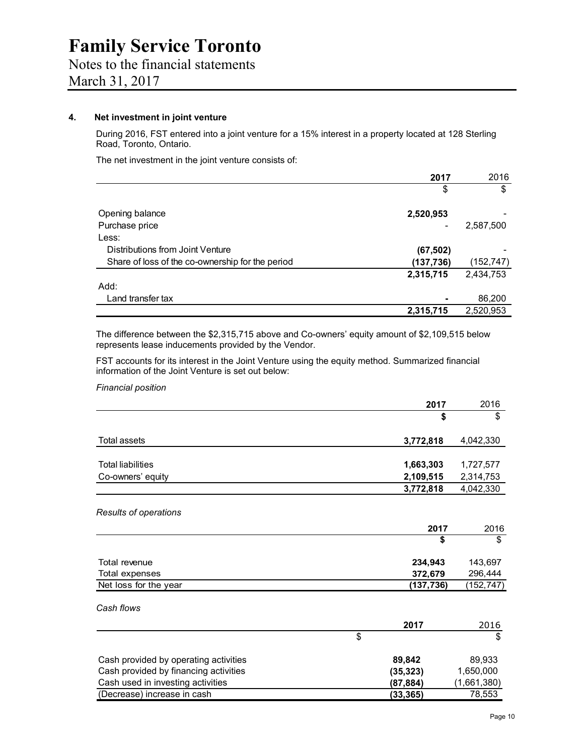# Notes to the financial statements

March 31, 2017

#### **4. Net investment in joint venture**

During 2016, FST entered into a joint venture for a 15% interest in a property located at 128 Sterling Road, Toronto, Ontario.

The net investment in the joint venture consists of:

|                                                  | 2017       | 2016       |
|--------------------------------------------------|------------|------------|
|                                                  | \$         | \$         |
| Opening balance                                  | 2,520,953  |            |
| Purchase price                                   |            | 2,587,500  |
| Less:                                            |            |            |
| Distributions from Joint Venture                 | (67, 502)  |            |
| Share of loss of the co-ownership for the period | (137, 736) | (152, 747) |
|                                                  | 2,315,715  | 2,434,753  |
| Add:                                             |            |            |
| Land transfer tax                                |            | 86,200     |
|                                                  | 2,315,715  | 2,520,953  |

The difference between the \$2,315,715 above and Co-owners' equity amount of \$2,109,515 below represents lease inducements provided by the Vendor.

FST accounts for its interest in the Joint Venture using the equity method. Summarized financial information of the Joint Venture is set out below:

*Financial position* 

|                                       | 2017      | 2016        |
|---------------------------------------|-----------|-------------|
|                                       | \$        | \$          |
| Total assets                          | 3,772,818 | 4,042,330   |
|                                       |           |             |
| <b>Total liabilities</b>              | 1,663,303 | 1,727,577   |
| Co-owners' equity                     | 2,109,515 | 2,314,753   |
|                                       | 3,772,818 | 4,042,330   |
| Results of operations                 |           |             |
|                                       | 2017      | 2016        |
|                                       | \$        | \$          |
| Total revenue                         | 234,943   | 143,697     |
| Total expenses                        | 372,679   | 296,444     |
| Net loss for the year                 | (137,736) | (152,747)   |
| Cash flows                            |           |             |
|                                       | 2017      | 2016        |
|                                       | \$        | \$          |
| Cash provided by operating activities | 89,842    | 89,933      |
| Cash provided by financing activities | (35, 323) | 1,650,000   |
| Cash used in investing activities     | (87,884)  | (1,661,380) |
| (Decrease) increase in cash           | (33, 365) | 78,553      |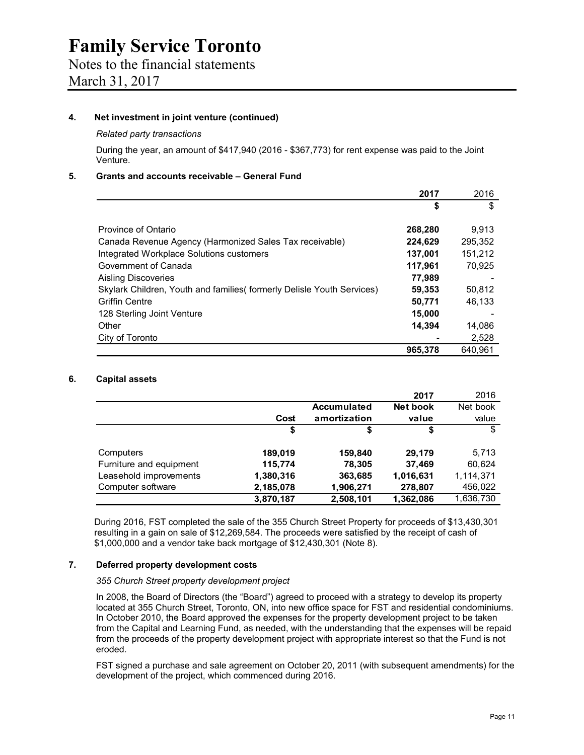#### **4. Net investment in joint venture (continued)**

#### *Related party transactions*

During the year, an amount of \$417,940 (2016 - \$367,773) for rent expense was paid to the Joint Venture.

#### **5. Grants and accounts receivable – General Fund**

|                                                                        | 2017    | 2016    |
|------------------------------------------------------------------------|---------|---------|
|                                                                        | S       | \$      |
| Province of Ontario                                                    | 268,280 | 9,913   |
| Canada Revenue Agency (Harmonized Sales Tax receivable)                | 224,629 | 295,352 |
| Integrated Workplace Solutions customers                               | 137,001 | 151,212 |
| Government of Canada                                                   | 117,961 | 70.925  |
| Aisling Discoveries                                                    | 77,989  |         |
| Skylark Children, Youth and families (formerly Delisle Youth Services) | 59,353  | 50,812  |
| <b>Griffin Centre</b>                                                  | 50,771  | 46.133  |
| 128 Sterling Joint Venture                                             | 15,000  |         |
| Other                                                                  | 14.394  | 14,086  |
| City of Toronto                                                        |         | 2,528   |
|                                                                        | 965,378 | 640.961 |

#### **6. Capital assets**

|                         |           |                    | 2017      | 2016      |
|-------------------------|-----------|--------------------|-----------|-----------|
|                         |           | <b>Accumulated</b> | Net book  | Net book  |
|                         | Cost      | amortization       | value     | value     |
|                         | \$        | \$                 | \$        | \$        |
| Computers               | 189,019   | 159,840            | 29,179    | 5,713     |
| Furniture and equipment | 115,774   | 78,305             | 37,469    | 60,624    |
| Leasehold improvements  | 1,380,316 | 363,685            | 1,016,631 | 1,114,371 |
| Computer software       | 2,185,078 | 1,906,271          | 278,807   | 456,022   |
|                         | 3,870,187 | 2,508,101          | 1,362,086 | 1,636,730 |

During 2016, FST completed the sale of the 355 Church Street Property for proceeds of \$13,430,301 resulting in a gain on sale of \$12,269,584. The proceeds were satisfied by the receipt of cash of \$1,000,000 and a vendor take back mortgage of \$12,430,301 (Note 8).

#### **7. Deferred property development costs**

#### *355 Church Street property development project*

In 2008, the Board of Directors (the "Board") agreed to proceed with a strategy to develop its property located at 355 Church Street, Toronto, ON, into new office space for FST and residential condominiums. In October 2010, the Board approved the expenses for the property development project to be taken from the Capital and Learning Fund, as needed, with the understanding that the expenses will be repaid from the proceeds of the property development project with appropriate interest so that the Fund is not eroded.

FST signed a purchase and sale agreement on October 20, 2011 (with subsequent amendments) for the development of the project, which commenced during 2016.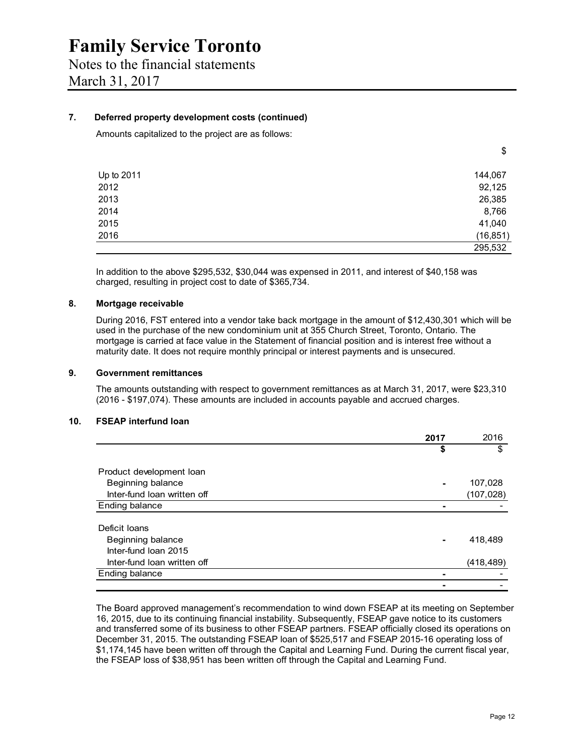#### **7. Deferred property development costs (continued)**

Amounts capitalized to the project are as follows:

|            | $\mathbf{r}$ |
|------------|--------------|
| Up to 2011 | 144,067      |
| 2012       | 92,125       |
| 2013       | 26,385       |
| 2014       | 8,766        |
| 2015       | 41,040       |
| 2016       | (16, 851)    |
|            | 295,532      |

In addition to the above \$295,532, \$30,044 was expensed in 2011, and interest of \$40,158 was charged, resulting in project cost to date of \$365,734.

#### **8. Mortgage receivable**

During 2016, FST entered into a vendor take back mortgage in the amount of \$12,430,301 which will be used in the purchase of the new condominium unit at 355 Church Street, Toronto, Ontario. The mortgage is carried at face value in the Statement of financial position and is interest free without a maturity date. It does not require monthly principal or interest payments and is unsecured.

#### **9. Government remittances**

The amounts outstanding with respect to government remittances as at March 31, 2017, were \$23,310 (2016 - \$197,074). These amounts are included in accounts payable and accrued charges.

#### **10. FSEAP interfund loan**

|                             | 2017 | 2016       |
|-----------------------------|------|------------|
|                             | \$   | \$         |
| Product development loan    |      |            |
| Beginning balance           |      | 107,028    |
| Inter-fund loan written off |      | (107, 028) |
| Ending balance              |      |            |
| Deficit Ioans               |      |            |
| Beginning balance           |      | 418,489    |
| Inter-fund Ioan 2015        |      |            |
| Inter-fund loan written off |      | (418, 489) |
| Ending balance              |      |            |
|                             |      |            |

The Board approved management's recommendation to wind down FSEAP at its meeting on September 16, 2015, due to its continuing financial instability. Subsequently, FSEAP gave notice to its customers and transferred some of its business to other FSEAP partners. FSEAP officially closed its operations on December 31, 2015. The outstanding FSEAP loan of \$525,517 and FSEAP 2015-16 operating loss of \$1,174,145 have been written off through the Capital and Learning Fund. During the current fiscal year, the FSEAP loss of \$38,951 has been written off through the Capital and Learning Fund.

\$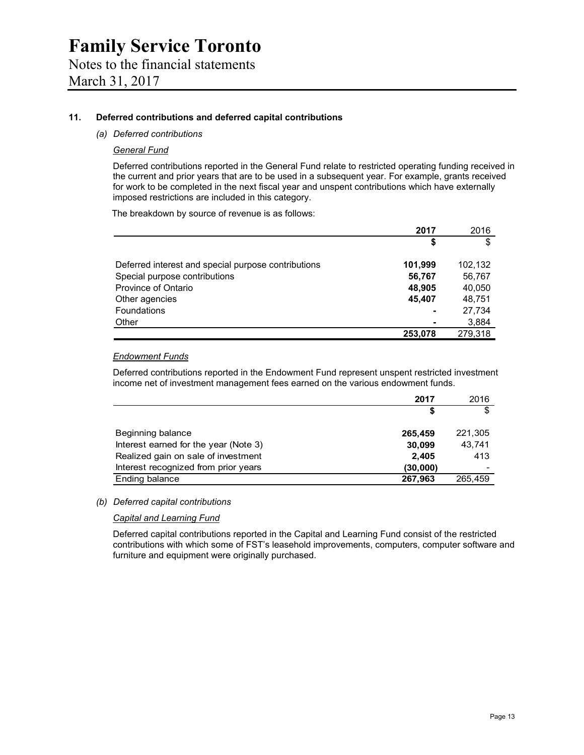#### **11. Deferred contributions and deferred capital contributions**

#### *(a) Deferred contributions*

#### *General Fund*

Deferred contributions reported in the General Fund relate to restricted operating funding received in the current and prior years that are to be used in a subsequent year. For example, grants received for work to be completed in the next fiscal year and unspent contributions which have externally imposed restrictions are included in this category.

The breakdown by source of revenue is as follows:

|                                                     | 2017    | 2016    |
|-----------------------------------------------------|---------|---------|
|                                                     | S       | \$      |
| Deferred interest and special purpose contributions | 101,999 | 102,132 |
| Special purpose contributions                       | 56,767  | 56,767  |
| Province of Ontario                                 | 48,905  | 40,050  |
| Other agencies                                      | 45.407  | 48,751  |
| <b>Foundations</b>                                  |         | 27.734  |
| Other                                               |         | 3,884   |
|                                                     | 253.078 | 279,318 |

#### *Endowment Funds*

Deferred contributions reported in the Endowment Fund represent unspent restricted investment income net of investment management fees earned on the various endowment funds.

|                                       | 2017     | 2016                     |
|---------------------------------------|----------|--------------------------|
|                                       | S        | \$                       |
|                                       |          |                          |
| Beginning balance                     | 265,459  | 221,305                  |
| Interest earned for the year (Note 3) | 30,099   | 43,741                   |
| Realized gain on sale of investment   | 2.405    | 413                      |
| Interest recognized from prior years  | (30,000) | $\overline{\phantom{0}}$ |
| Ending balance                        | 267,963  | 265.459                  |

#### *(b) Deferred capital contributions*

*Capital and Learning Fund* 

Deferred capital contributions reported in the Capital and Learning Fund consist of the restricted contributions with which some of FST's leasehold improvements, computers, computer software and furniture and equipment were originally purchased.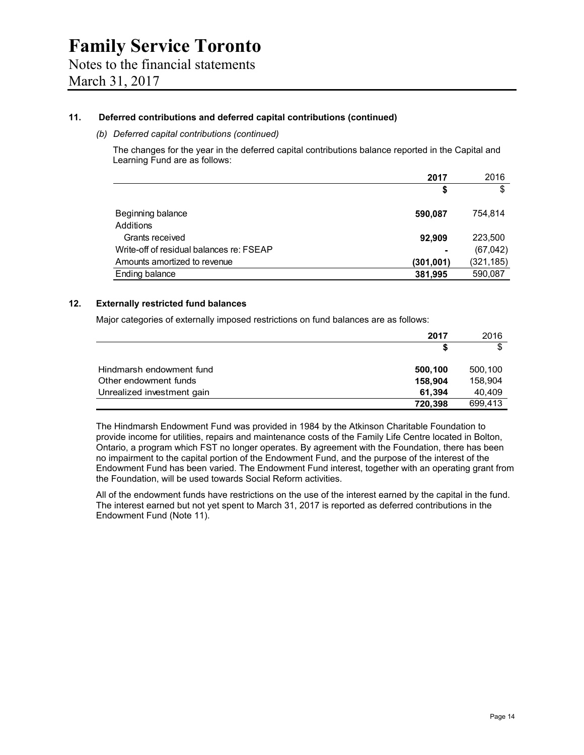#### **11. Deferred contributions and deferred capital contributions (continued)**

#### *(b) Deferred capital contributions (continued)*

The changes for the year in the deferred capital contributions balance reported in the Capital and Learning Fund are as follows:

| 2017                                      | 2016       |
|-------------------------------------------|------------|
| \$                                        | \$         |
|                                           |            |
| Beginning balance<br>590,087              | 754,814    |
| Additions                                 |            |
| Grants received<br>92,909                 | 223,500    |
| Write-off of residual balances re: FSEAP  | (67, 042)  |
| Amounts amortized to revenue<br>(301,001) | (321, 185) |
| Ending balance<br>381,995                 | 590,087    |

#### **12. Externally restricted fund balances**

Major categories of externally imposed restrictions on fund balances are as follows:

|                            | 2017    | 2016    |
|----------------------------|---------|---------|
|                            |         | \$      |
| Hindmarsh endowment fund   | 500,100 | 500,100 |
| Other endowment funds      | 158,904 | 158,904 |
| Unrealized investment gain | 61.394  | 40.409  |
|                            | 720,398 | 699.413 |

The Hindmarsh Endowment Fund was provided in 1984 by the Atkinson Charitable Foundation to provide income for utilities, repairs and maintenance costs of the Family Life Centre located in Bolton, Ontario, a program which FST no longer operates. By agreement with the Foundation, there has been no impairment to the capital portion of the Endowment Fund, and the purpose of the interest of the Endowment Fund has been varied. The Endowment Fund interest, together with an operating grant from the Foundation, will be used towards Social Reform activities.

All of the endowment funds have restrictions on the use of the interest earned by the capital in the fund. The interest earned but not yet spent to March 31, 2017 is reported as deferred contributions in the Endowment Fund (Note 11).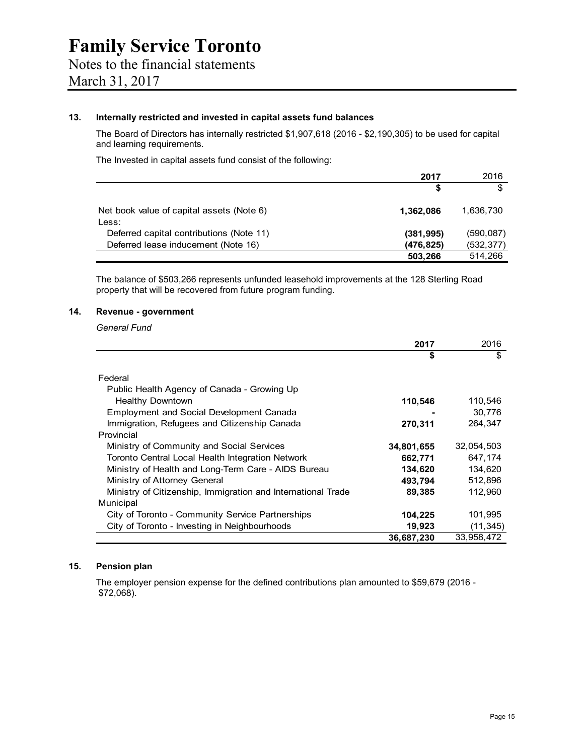#### **13. Internally restricted and invested in capital assets fund balances**

The Board of Directors has internally restricted \$1,907,618 (2016 - \$2,190,305) to be used for capital and learning requirements.

The Invested in capital assets fund consist of the following:

|                                                    | 2017       | 2016       |
|----------------------------------------------------|------------|------------|
|                                                    | S          |            |
| Net book value of capital assets (Note 6)<br>Less: | 1.362.086  | 1.636.730  |
| Deferred capital contributions (Note 11)           | (381, 995) | (590, 087) |
| Deferred lease inducement (Note 16)                | (476, 825) | (532, 377) |
|                                                    | 503.266    | 514.266    |

The balance of \$503,266 represents unfunded leasehold improvements at the 128 Sterling Road property that will be recovered from future program funding.

#### **14. Revenue - government**

*General Fund* 

|                                                              | 2017       | 2016       |
|--------------------------------------------------------------|------------|------------|
|                                                              | S          | \$         |
| Federal                                                      |            |            |
| Public Health Agency of Canada - Growing Up                  |            |            |
| <b>Healthy Downtown</b>                                      | 110,546    | 110,546    |
| Employment and Social Development Canada                     |            | 30.776     |
| Immigration, Refugees and Citizenship Canada                 | 270,311    | 264.347    |
| Provincial                                                   |            |            |
| Ministry of Community and Social Services                    | 34,801,655 | 32,054,503 |
| Toronto Central Local Health Integration Network             | 662,771    | 647,174    |
| Ministry of Health and Long-Term Care - AIDS Bureau          | 134.620    | 134.620    |
| Ministry of Attorney General                                 | 493,794    | 512.896    |
| Ministry of Citizenship, Immigration and International Trade | 89,385     | 112,960    |
| Municipal                                                    |            |            |
| City of Toronto - Community Service Partnerships             | 104,225    | 101,995    |
| City of Toronto - Investing in Neighbourhoods                | 19,923     | (11, 345)  |
|                                                              | 36,687,230 | 33.958.472 |

#### **15. Pension plan**

The employer pension expense for the defined contributions plan amounted to \$59,679 (2016 - \$72,068).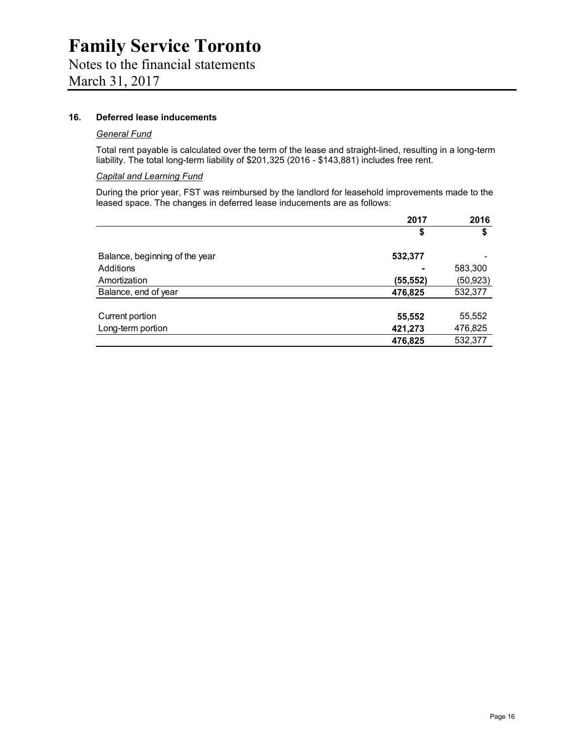# Notes to the financial statements

March 31, 2017

#### **16. Deferred lease inducements**

#### *General Fund*

Total rent payable is calculated over the term of the lease and straight-lined, resulting in a long-term liability. The total long-term liability of \$201,325 (2016 - \$143,881) includes free rent.

#### *Capital and Learning Fund*

During the prior year, FST was reimbursed by the landlord for leasehold improvements made to the leased space. The changes in deferred lease inducements are as follows:

|                                | 2017      | 2016      |
|--------------------------------|-----------|-----------|
|                                | \$        | \$        |
| Balance, beginning of the year | 532,377   |           |
| Additions                      |           | 583,300   |
| Amortization                   | (55, 552) | (50, 923) |
| Balance, end of year           | 476,825   | 532,377   |
|                                |           |           |
| Current portion                | 55,552    | 55,552    |
| Long-term portion              | 421,273   | 476,825   |
|                                | 476,825   | 532,377   |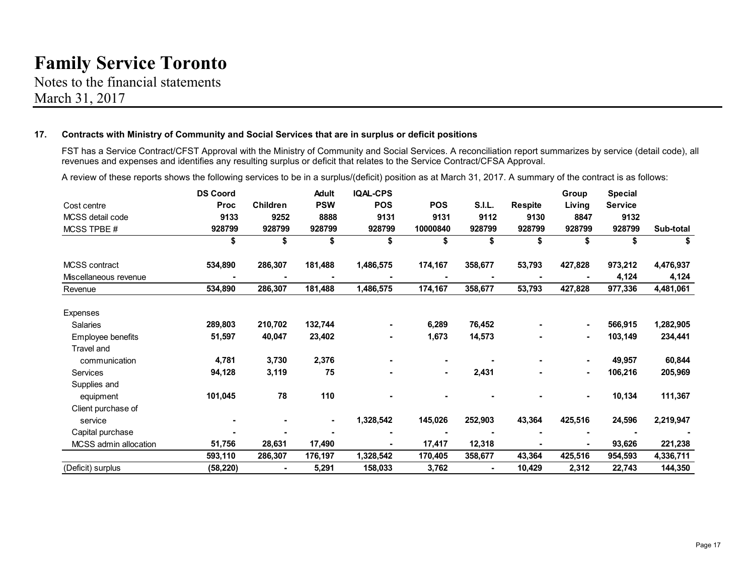Notes to the financial statements March 31, 2017

#### **17. Contracts with Ministry of Community and Social Services that are in surplus or deficit positions**

FST has a Service Contract/CFST Approval with the Ministry of Community and Social Services. A reconciliation report summarizes by service (detail code), all revenues and expenses and identifies any resulting surplus or deficit that relates to the Service Contract/CFSA Approval.

A review of these reports shows the following services to be in a surplus/(deficit) position as at March 31, 2017. A summary of the contract is as follows:

|                       | <b>DS Coord</b> |                 | <b>Adult</b> | <b>IQAL-CPS</b> |                |         |                | Group   | <b>Special</b> |           |
|-----------------------|-----------------|-----------------|--------------|-----------------|----------------|---------|----------------|---------|----------------|-----------|
| Cost centre           | <b>Proc</b>     | <b>Children</b> | <b>PSW</b>   | <b>POS</b>      | <b>POS</b>     | S.I.L.  | <b>Respite</b> | Living  | <b>Service</b> |           |
| MCSS detail code      | 9133            | 9252            | 8888         | 9131            | 9131           | 9112    | 9130           | 8847    | 9132           |           |
| MCSS TPBE #           | 928799          | 928799          | 928799       | 928799          | 10000840       | 928799  | 928799         | 928799  | 928799         | Sub-total |
|                       | \$              | \$              | \$           |                 | \$             |         | \$             | \$      | \$             | \$        |
| MCSS contract         | 534,890         | 286,307         | 181,488      | 1,486,575       | 174,167        | 358,677 | 53,793         | 427,828 | 973,212        | 4,476,937 |
| Miscellaneous revenue |                 |                 |              |                 |                |         |                |         | 4,124          | 4,124     |
| Revenue               | 534,890         | 286,307         | 181,488      | 1,486,575       | 174,167        | 358,677 | 53,793         | 427,828 | 977,336        | 4,481,061 |
| Expenses              |                 |                 |              |                 |                |         |                |         |                |           |
| <b>Salaries</b>       | 289,803         | 210,702         | 132,744      |                 | 6,289          | 76,452  |                | ۰       | 566,915        | 1,282,905 |
| Employee benefits     | 51,597          | 40,047          | 23,402       |                 | 1,673          | 14,573  |                | ۰       | 103,149        | 234,441   |
| Travel and            |                 |                 |              |                 |                |         |                |         |                |           |
| communication         | 4,781           | 3,730           | 2,376        |                 | $\blacksquare$ |         |                | ٠       | 49,957         | 60,844    |
| <b>Services</b>       | 94,128          | 3,119           | 75           |                 | $\blacksquare$ | 2,431   |                | ۰       | 106,216        | 205,969   |
| Supplies and          |                 |                 |              |                 |                |         |                |         |                |           |
| equipment             | 101,045         | 78              | 110          |                 |                |         |                | ٠       | 10,134         | 111,367   |
| Client purchase of    |                 |                 |              |                 |                |         |                |         |                |           |
| service               |                 |                 | ٠            | 1,328,542       | 145,026        | 252,903 | 43,364         | 425,516 | 24,596         | 2,219,947 |
| Capital purchase      |                 |                 |              |                 |                |         |                |         |                |           |
| MCSS admin allocation | 51,756          | 28,631          | 17,490       |                 | 17,417         | 12,318  |                |         | 93,626         | 221,238   |
|                       | 593,110         | 286,307         | 176,197      | 1,328,542       | 170,405        | 358,677 | 43,364         | 425,516 | 954,593        | 4,336,711 |
| (Deficit) surplus     | (58, 220)       | $\blacksquare$  | 5,291        | 158,033         | 3,762          | ۰       | 10,429         | 2,312   | 22,743         | 144,350   |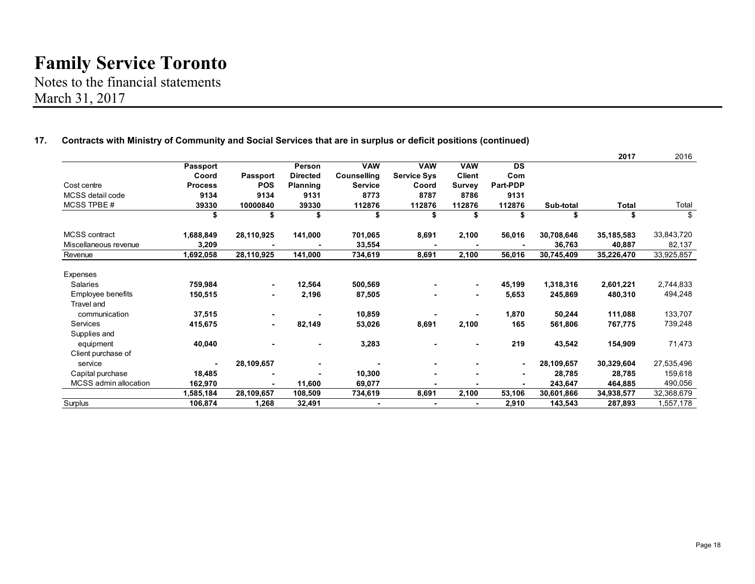Notes to the financial statements March 31, 2017

|                              |                |                          |                 |                |                    |                |           |            | 2017       | 2016       |
|------------------------------|----------------|--------------------------|-----------------|----------------|--------------------|----------------|-----------|------------|------------|------------|
|                              | Passport       |                          | Person          | <b>VAW</b>     | <b>VAW</b>         | <b>VAW</b>     | <b>DS</b> |            |            |            |
|                              | Coord          | Passport                 | <b>Directed</b> | Counselling    | <b>Service Sys</b> | <b>Client</b>  | Com       |            |            |            |
| Cost centre                  | <b>Process</b> | <b>POS</b>               | Planning        | <b>Service</b> | Coord              | <b>Survey</b>  | Part-PDP  |            |            |            |
| MCSS detail code             | 9134           | 9134                     | 9131            | 8773           | 8787               | 8786           | 9131      |            |            |            |
| MCSS TPBE #                  | 39330          | 10000840                 | 39330           | 112876         | 112876             | 112876         | 112876    | Sub-total  | Total      | Total      |
|                              | \$             | \$                       | \$              | \$             | \$                 | \$             | \$        | \$         | \$         | \$         |
| <b>MCSS</b> contract         | 1,688,849      | 28,110,925               | 141,000         | 701,065        | 8,691              | 2,100          | 56,016    | 30,708,646 | 35,185,583 | 33,843,720 |
| Miscellaneous revenue        | 3,209          |                          |                 | 33,554         |                    |                |           | 36,763     | 40,887     | 82,137     |
| Revenue                      | 1,692,058      | 28,110,925               | 141,000         | 734,619        | 8,691              | 2,100          | 56,016    | 30,745,409 | 35,226,470 | 33,925,857 |
| Expenses                     |                |                          |                 |                |                    |                |           |            |            |            |
| Salaries                     | 759,984        | $\blacksquare$           | 12,564          | 500,569        |                    | $\sim$         | 45,199    | 1,318,316  | 2,601,221  | 2,744,833  |
| Employee benefits            | 150,515        | ٠                        | 2,196           | 87,505         |                    | $\blacksquare$ | 5,653     | 245,869    | 480,310    | 494,248    |
| Travel and                   |                |                          |                 |                |                    |                |           |            |            |            |
| communication                | 37,515         | $\overline{\phantom{a}}$ |                 | 10,859         |                    |                | 1,870     | 50,244     | 111,088    | 133,707    |
| Services                     | 415,675        | $\blacksquare$           | 82,149          | 53,026         | 8,691              | 2,100          | 165       | 561,806    | 767,775    | 739,248    |
| Supplies and                 |                |                          |                 |                |                    |                |           |            |            |            |
| equipment                    | 40,040         |                          |                 | 3,283          |                    | $\blacksquare$ | 219       | 43,542     | 154,909    | 71,473     |
| Client purchase of           |                |                          |                 |                |                    |                |           |            |            |            |
| service                      |                | 28,109,657               |                 |                | ۰                  | $\blacksquare$ | ۰         | 28,109,657 | 30,329,604 | 27,535,496 |
| Capital purchase             | 18,485         |                          |                 | 10,300         | ٠                  |                | ٠         | 28,785     | 28.785     | 159,618    |
| <b>MCSS</b> admin allocation | 162,970        |                          | 11,600          | 69,077         |                    |                |           | 243,647    | 464,885    | 490,056    |
|                              | 1,585,184      | 28,109,657               | 108,509         | 734,619        | 8,691              | 2,100          | 53,106    | 30,601,866 | 34,938,577 | 32,368,679 |
| Surplus                      | 106,874        | 1,268                    | 32,491          | ۰              |                    |                | 2,910     | 143,543    | 287,893    | 1,557,178  |

#### **17. Contracts with Ministry of Community and Social Services that are in surplus or deficit positions (continued)**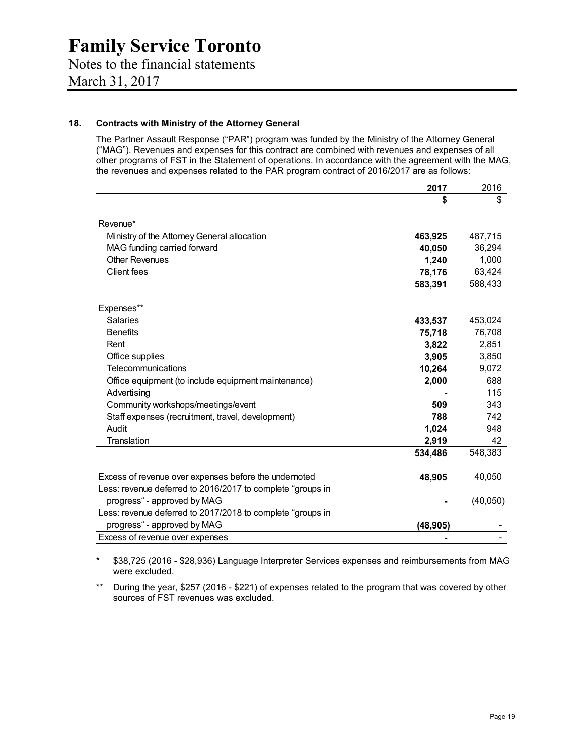### Notes to the financial statements March 31, 2017

#### **18. Contracts with Ministry of the Attorney General**

The Partner Assault Response ("PAR") program was funded by the Ministry of the Attorney General ("MAG"). Revenues and expenses for this contract are combined with revenues and expenses of all other programs of FST in the Statement of operations. In accordance with the agreement with the MAG, the revenues and expenses related to the PAR program contract of 2016/2017 are as follows:

|                                                            | 2017      | 2016     |
|------------------------------------------------------------|-----------|----------|
|                                                            | \$        | \$       |
|                                                            |           |          |
| Revenue*                                                   |           |          |
| Ministry of the Attorney General allocation                | 463,925   | 487,715  |
| MAG funding carried forward                                | 40,050    | 36,294   |
| <b>Other Revenues</b>                                      | 1,240     | 1,000    |
| <b>Client fees</b>                                         | 78,176    | 63,424   |
|                                                            | 583,391   | 588,433  |
|                                                            |           |          |
| Expenses**                                                 |           |          |
| Salaries                                                   | 433,537   | 453,024  |
| <b>Benefits</b>                                            | 75,718    | 76,708   |
| Rent                                                       | 3,822     | 2,851    |
| Office supplies                                            | 3,905     | 3,850    |
| Telecommunications                                         | 10,264    | 9,072    |
| Office equipment (to include equipment maintenance)        | 2,000     | 688      |
| Advertising                                                |           | 115      |
| Community workshops/meetings/event                         | 509       | 343      |
| Staff expenses (recruitment, travel, development)          | 788       | 742      |
| Audit                                                      | 1,024     | 948      |
| Translation                                                | 2,919     | 42       |
|                                                            | 534,486   | 548,383  |
|                                                            |           |          |
| Excess of revenue over expenses before the undernoted      | 48,905    | 40,050   |
| Less: revenue deferred to 2016/2017 to complete "groups in |           |          |
| progress" - approved by MAG                                |           | (40,050) |
| Less: revenue deferred to 2017/2018 to complete "groups in |           |          |
| progress" - approved by MAG                                | (48, 905) |          |
| Excess of revenue over expenses                            |           |          |

\* \$38,725 (2016 - \$28,936) Language Interpreter Services expenses and reimbursements from MAG were excluded.

\*\* During the year, \$257 (2016 - \$221) of expenses related to the program that was covered by other sources of FST revenues was excluded.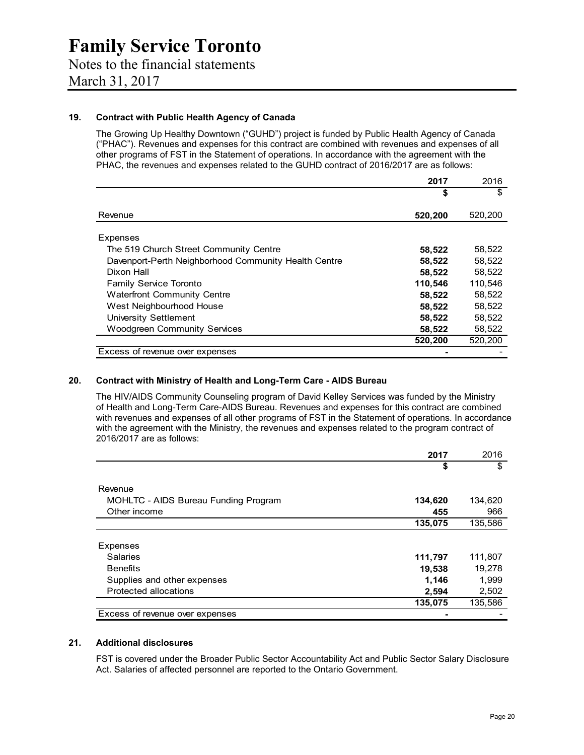#### **19. Contract with Public Health Agency of Canada**

The Growing Up Healthy Downtown ("GUHD") project is funded by Public Health Agency of Canada ("PHAC"). Revenues and expenses for this contract are combined with revenues and expenses of all other programs of FST in the Statement of operations. In accordance with the agreement with the PHAC, the revenues and expenses related to the GUHD contract of 2016/2017 are as follows:

|                                                      | 2017    | 2016    |
|------------------------------------------------------|---------|---------|
|                                                      | \$      | \$      |
| Revenue                                              | 520,200 | 520,200 |
| Expenses                                             |         |         |
| The 519 Church Street Community Centre               | 58,522  | 58,522  |
| Davenport-Perth Neighborhood Community Health Centre | 58,522  | 58,522  |
| Dixon Hall                                           | 58,522  | 58,522  |
| Family Service Toronto                               | 110,546 | 110,546 |
| <b>Waterfront Community Centre</b>                   | 58,522  | 58,522  |
| West Neighbourhood House                             | 58,522  | 58,522  |
| University Settlement                                | 58,522  | 58,522  |
| <b>Woodgreen Community Services</b>                  | 58,522  | 58,522  |
|                                                      | 520,200 | 520,200 |
| Excess of revenue over expenses                      |         |         |

#### **20. Contract with Ministry of Health and Long-Term Care - AIDS Bureau**

The HIV/AIDS Community Counseling program of David Kelley Services was funded by the Ministry of Health and Long-Term Care-AIDS Bureau. Revenues and expenses for this contract are combined with revenues and expenses of all other programs of FST in the Statement of operations. In accordance with the agreement with the Ministry, the revenues and expenses related to the program contract of 2016/2017 are as follows:

|                                      | 2017    | 2016    |
|--------------------------------------|---------|---------|
|                                      | \$      | \$      |
| Revenue                              |         |         |
| MOHLTC - AIDS Bureau Funding Program | 134,620 | 134,620 |
| Other income                         | 455     | 966     |
|                                      | 135,075 | 135,586 |
| Expenses                             |         |         |
| <b>Salaries</b>                      | 111,797 | 111,807 |
| <b>Benefits</b>                      | 19,538  | 19,278  |
| Supplies and other expenses          | 1,146   | 1,999   |
| Protected allocations                | 2,594   | 2,502   |
|                                      | 135,075 | 135,586 |
| Excess of revenue over expenses      |         |         |

#### **21. Additional disclosures**

FST is covered under the Broader Public Sector Accountability Act and Public Sector Salary Disclosure Act. Salaries of affected personnel are reported to the Ontario Government.